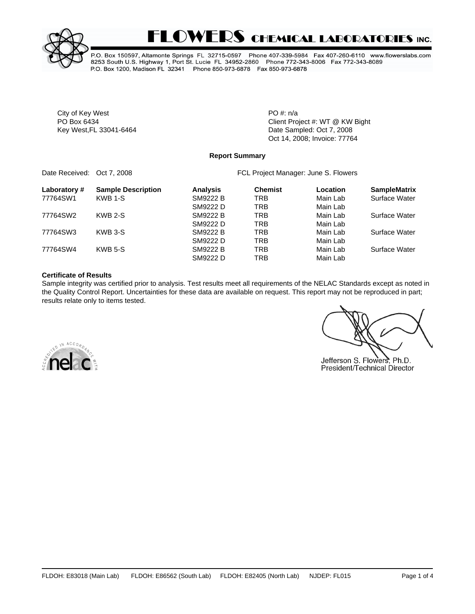

# **FLOWERS CHEMICAL LABORATORIES INC.**

P.O. Box 150597, Altamonte Springs FL 32715-0597 Phone 407-339-5984 Fax 407-260-6110 www.flowerslabs.com 8253 South U.S. Highway 1, Port St. Lucie FL 34952-2860 Phone 772-343-8006 Fax 772-343-8089 P.O. Box 1200, Madison FL 32341 Phone 850-973-6878 Fax 850-973-6878

City of Key West **PO** #: n/a

PO Box 6434 **PO Box 6434** Client Project #: WT @ KW Bight Key West, FL 33041-6464 **Date Sampled: Oct 7, 2008** Oct 14, 2008; Invoice: 77764

#### **Report Summary**

Date Received: Oct 7, 2008 **FCL Project Manager: June S. Flowers** 

| Laboratory# | <b>Sample Description</b> | <b>Analysis</b> | <b>Chemist</b> | Location | <b>SampleMatrix</b> |
|-------------|---------------------------|-----------------|----------------|----------|---------------------|
| 77764SW1    | KWB 1-S                   | SM9222 B        | TRB            | Main Lab | Surface Water       |
|             |                           | SM9222 D        | TRB            | Main Lab |                     |
| 77764SW2    | KWB 2-S                   | SM9222 B        | TRB            | Main Lab | Surface Water       |
|             |                           | SM9222 D        | TRB            | Main Lab |                     |
| 77764SW3    | KWB 3-S                   | SM9222 B        | TRB            | Main Lab | Surface Water       |
|             |                           | SM9222 D        | TRB            | Main Lab |                     |
| 77764SW4    | KWB 5-S                   | SM9222 B        | TRB            | Main Lab | Surface Water       |
|             |                           | SM9222 D        | TRB            | Main Lab |                     |

#### **Certificate of Results**

Sample integrity was certified prior to analysis. Test results meet all requirements of the NELAC Standards except as noted in the Quality Control Report. Uncertainties for these data are available on request. This report may not be reproduced in part; results relate only to items tested.



Jefferson S. Flowers, Ph.D. President/Technical Director

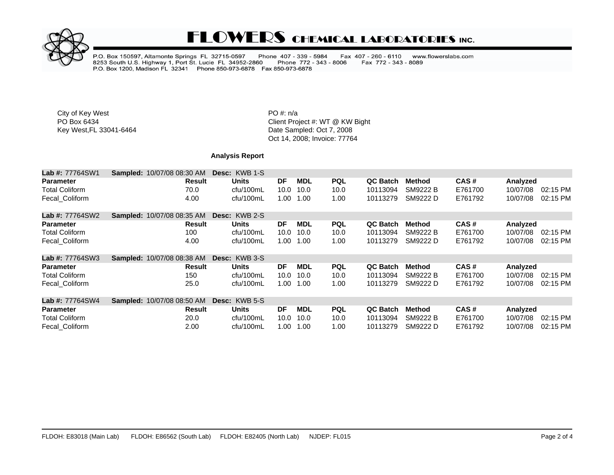

## **FLOWERS CHEMICAL LABORATORIES INC.**

P.O. Box 150597, Altamonte Springs FL 32715-0597 Phone 407 - 339 - 5984<br>8253 South U.S. Highway 1, Port St. Lucie FL 34952-2860 Phone 772 - 343<br>P.O. Box 1200, Madison FL 32341 Phone 850-973-6878 Fax 850-973-6878 Fax 407 - 260 - 6110 www.flowerslabs.com Fax 772 - 343 - 8089 Phone 772 - 343 - 8006

City of Key West **PO** #: n/a

PO Box 6434<br>
Fo Box 6434<br>
Key West,FL 33041-6464<br>
Client Project #: WT @ KW Bight<br>
Client Project #: WT @ KW Bight Date Sampled: Oct 7, 2008 Oct 14, 2008; Invoice: 77764

### **Analysis Report**

| <b>Lab #: 77764SW1</b> | <b>Sampled: 10/07/08 08:30 AM</b> | Desc: KWB 1-S        |      |            |            |                 |               |         |          |          |
|------------------------|-----------------------------------|----------------------|------|------------|------------|-----------------|---------------|---------|----------|----------|
| <b>Parameter</b>       | <b>Result</b>                     | <b>Units</b>         | DF   | <b>MDL</b> | <b>PQL</b> | QC Batch        | Method        | CAS#    | Analyzed |          |
| <b>Total Coliform</b>  | 70.0                              | cfu/100mL            | 10.0 | 10.0       | 10.0       | 10113094        | SM9222 B      | E761700 | 10/07/08 | 02:15 PM |
| Fecal Coliform         | 4.00                              | cfu/100mL            | 1.00 | 1.00       | 1.00       | 10113279        | SM9222 D      | E761792 | 10/07/08 | 02:15 PM |
| <b>Lab #: 77764SW2</b> | <b>Sampled: 10/07/08 08:35 AM</b> | Desc: KWB 2-S        |      |            |            |                 |               |         |          |          |
| <b>Parameter</b>       | Result                            | Units                | DF   | <b>MDL</b> | <b>PQL</b> | <b>QC Batch</b> | <b>Method</b> | CAS#    | Analyzed |          |
| <b>Total Coliform</b>  | 100                               | cfu/100mL            | 10.0 | 10.0       | 10.0       | 10113094        | SM9222 B      | E761700 | 10/07/08 | 02:15 PM |
| Fecal Coliform         | 4.00                              | cfu/100mL            | 1.00 | 1.00       | 1.00       | 10113279        | SM9222 D      | E761792 | 10/07/08 | 02:15 PM |
| <b>Lab #: 77764SW3</b> | <b>Sampled: 10/07/08 08:38 AM</b> | <b>Desc: KWB 3-S</b> |      |            |            |                 |               |         |          |          |
| <b>Parameter</b>       | Result                            | Units                | DF   | <b>MDL</b> | <b>PQL</b> | QC Batch        | Method        | CAS#    | Analyzed |          |
| <b>Total Coliform</b>  | 150                               | cfu/100mL            | 10.0 | 10.0       | 10.0       | 10113094        | SM9222 B      | E761700 | 10/07/08 | 02:15 PM |
| Fecal Coliform         | 25.0                              | cfu/100mL            | 1.00 | 1.00       | 1.00       | 10113279        | SM9222 D      | E761792 | 10/07/08 | 02:15 PM |
| <b>Lab #: 77764SW4</b> | Sampled: 10/07/08 08:50 AM        | <b>Desc: KWB 5-S</b> |      |            |            |                 |               |         |          |          |
| <b>Parameter</b>       | Result                            | Units                | DF   | <b>MDL</b> | <b>PQL</b> | QC Batch        | Method        | CAS#    | Analyzed |          |
| <b>Total Coliform</b>  | 20.0                              | cfu/100mL            | 10.0 | 10.0       | 10.0       | 10113094        | SM9222 B      | E761700 | 10/07/08 | 02:15 PM |
| Fecal Coliform         | 2.00                              | cfu/100mL            | 1.00 | 1.00       | 1.00       | 10113279        | SM9222 D      | E761792 | 10/07/08 | 02:15 PM |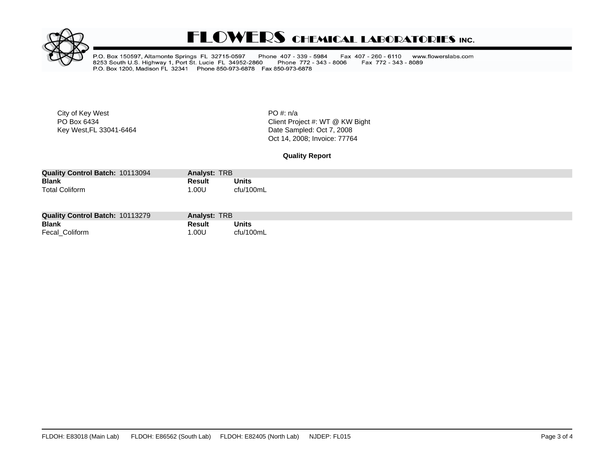

## **FLOWERS CHEMICAL LABORATORIES INC.**

P.O. Box 150597, Altamonte Springs FL 32715-0597 Phone 407 - 339 - 5984<br>8253 South U.S. Highway 1, Port St. Lucie FL 34952-2860 Phone 772 - 343<br>P.O. Box 1200, Madison FL 32341 Phone 850-973-6878 Fax 850-973-6878 Fax 407 - 260 - 6110 www.flowerslabs.com Phone 772 - 343 - 8006 Fax 772 - 343 - 8089

City of Key West **PO** #: n/a

PO Box 6434<br>
Fo Box 6434<br>
Key West,FL 33041-6464<br>
Client Project #: WT @ KW Bight<br>
Client Project #: WT @ KW Bight Date Sampled: Oct 7, 2008 Oct 14, 2008; Invoice: 77764

**Quality Report**

| <b>Quality Control Batch: 10113094</b> | Analyst: TRB |           |
|----------------------------------------|--------------|-----------|
| <b>Blank</b>                           | Result       | Units     |
| <b>Total Coliform</b>                  | .00U         | cfu/100mL |

| <b>Quality Control Batch: 10113279</b> | Analyst: TRB |              |
|----------------------------------------|--------------|--------------|
| <b>Blank</b>                           | Result       | <b>Units</b> |
| Fecal_Coliform                         | .00U         | cfu/100mL    |